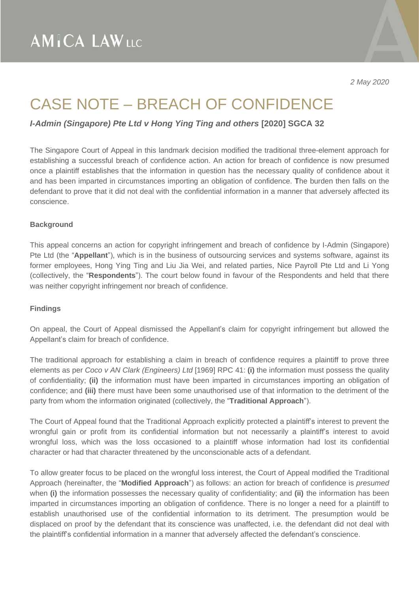*2 May 2020*

# CASE NOTE – BREACH OF CONFIDENCE

*I-Admin (Singapore) Pte Ltd v Hong Ying Ting and others* **[2020] SGCA 32**

The Singapore Court of Appeal in this landmark decision modified the traditional three-element approach for establishing a successful breach of confidence action. An action for breach of confidence is now presumed once a plaintiff establishes that the information in question has the necessary quality of confidence about it and has been imparted in circumstances importing an obligation of confidence. The burden then falls on the defendant to prove that it did not deal with the confidential information in a manner that adversely affected its conscience.

## **Background**

This appeal concerns an action for copyright infringement and breach of confidence by I-Admin (Singapore) Pte Ltd (the "**Appellant**"), which is in the business of outsourcing services and systems software, against its former employees, Hong Ying Ting and Liu Jia Wei, and related parties, Nice Payroll Pte Ltd and Li Yong (collectively, the "**Respondents**"). The court below found in favour of the Respondents and held that there was neither copyright infringement nor breach of confidence.

#### **Findings**

On appeal, the Court of Appeal dismissed the Appellant's claim for copyright infringement but allowed the Appellant's claim for breach of confidence.

The traditional approach for establishing a claim in breach of confidence requires a plaintiff to prove three elements as per *Coco v AN Clark (Engineers) Ltd* [1969] RPC 41: **(i)** the information must possess the quality of confidentiality; **(ii)** the information must have been imparted in circumstances importing an obligation of confidence; and **(iii)** there must have been some unauthorised use of that information to the detriment of the party from whom the information originated (collectively, the "**Traditional Approach**").

The Court of Appeal found that the Traditional Approach explicitly protected a plaintiff's interest to prevent the wrongful gain or profit from its confidential information but not necessarily a plaintiff's interest to avoid wrongful loss, which was the loss occasioned to a plaintiff whose information had lost its confidential character or had that character threatened by the unconscionable acts of a defendant.

To allow greater focus to be placed on the wrongful loss interest, the Court of Appeal modified the Traditional Approach (hereinafter, the "**Modified Approach**") as follows: an action for breach of confidence is *presumed* when **(i)** the information possesses the necessary quality of confidentiality; and **(ii)** the information has been imparted in circumstances importing an obligation of confidence. There is no longer a need for a plaintiff to establish unauthorised use of the confidential information to its detriment. The presumption would be displaced on proof by the defendant that its conscience was unaffected, i.e. the defendant did not deal with the plaintiff's confidential information in a manner that adversely affected the defendant's conscience.